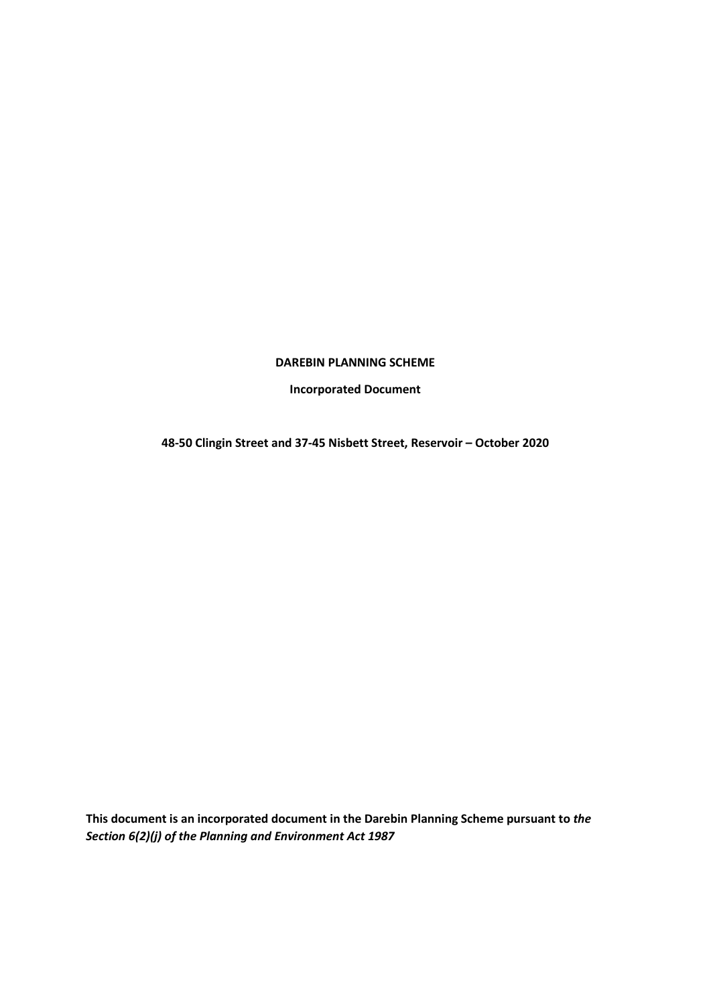#### **DAREBIN PLANNING SCHEME**

**Incorporated Document** 

**48-50 Clingin Street and 37-45 Nisbett Street, Reservoir – October 2020** 

**This document is an incorporated document in the Darebin Planning Scheme pursuant to** *the Section 6(2)(j) of the Planning and Environment Act 1987*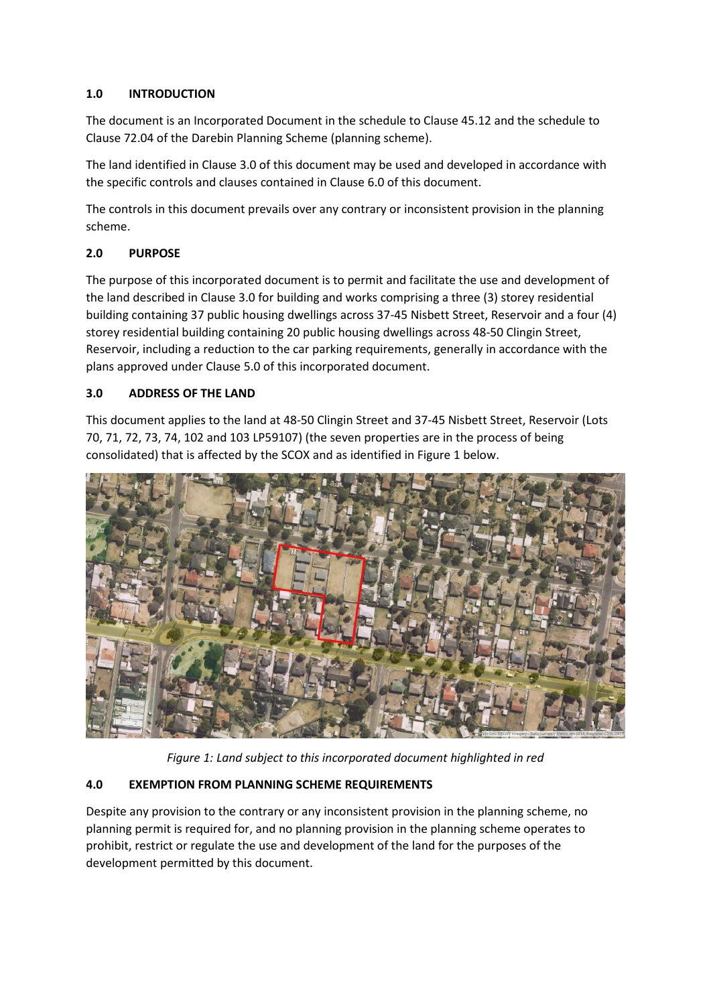## **1.0 INTRODUCTION**

The document is an Incorporated Document in the schedule to Clause 45.12 and the schedule to Clause 72.04 of the Darebin Planning Scheme (planning scheme).

The land identified in Clause 3.0 of this document may be used and developed in accordance with the specific controls and clauses contained in Clause 6.0 of this document.

The controls in this document prevails over any contrary or inconsistent provision in the planning scheme.

# **2.0 PURPOSE**

The purpose of this incorporated document is to permit and facilitate the use and development of the land described in Clause 3.0 for building and works comprising a three (3) storey residential building containing 37 public housing dwellings across 37-45 Nisbett Street, Reservoir and a four (4) storey residential building containing 20 public housing dwellings across 48-50 Clingin Street, Reservoir, including a reduction to the car parking requirements, generally in accordance with the plans approved under Clause 5.0 of this incorporated document.

# **3.0 ADDRESS OF THE LAND**

This document applies to the land at 48-50 Clingin Street and 37-45 Nisbett Street, Reservoir (Lots 70, 71, 72, 73, 74, 102 and 103 LP59107) (the seven properties are in the process of being consolidated) that is affected by the SCOX and as identified in Figure 1 below.



*Figure 1: Land subject to this incorporated document highlighted in red* 

# **4.0 EXEMPTION FROM PLANNING SCHEME REQUIREMENTS**

Despite any provision to the contrary or any inconsistent provision in the planning scheme, no planning permit is required for, and no planning provision in the planning scheme operates to prohibit, restrict or regulate the use and development of the land for the purposes of the development permitted by this document.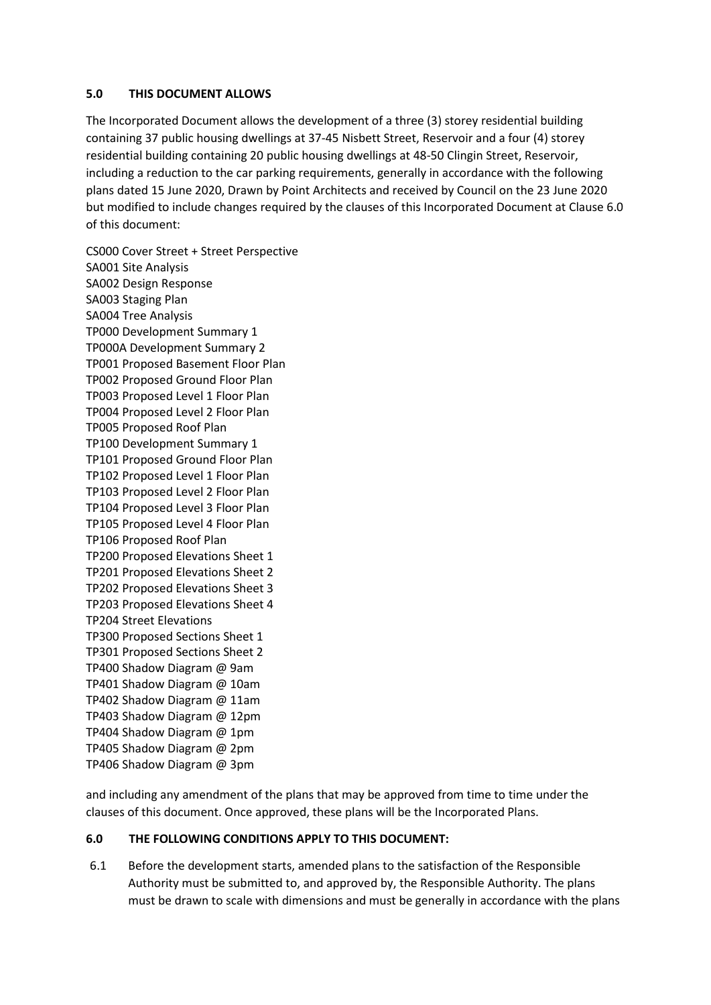### **5.0 THIS DOCUMENT ALLOWS**

The Incorporated Document allows the development of a three (3) storey residential building containing 37 public housing dwellings at 37-45 Nisbett Street, Reservoir and a four (4) storey residential building containing 20 public housing dwellings at 48-50 Clingin Street, Reservoir, including a reduction to the car parking requirements, generally in accordance with the following plans dated 15 June 2020, Drawn by Point Architects and received by Council on the 23 June 2020 but modified to include changes required by the clauses of this Incorporated Document at Clause 6.0 of this document:

CS000 Cover Street + Street Perspective SA001 Site Analysis SA002 Design Response SA003 Staging Plan SA004 Tree Analysis TP000 Development Summary 1 TP000A Development Summary 2 TP001 Proposed Basement Floor Plan TP002 Proposed Ground Floor Plan TP003 Proposed Level 1 Floor Plan TP004 Proposed Level 2 Floor Plan TP005 Proposed Roof Plan TP100 Development Summary 1 TP101 Proposed Ground Floor Plan TP102 Proposed Level 1 Floor Plan TP103 Proposed Level 2 Floor Plan TP104 Proposed Level 3 Floor Plan TP105 Proposed Level 4 Floor Plan TP106 Proposed Roof Plan TP200 Proposed Elevations Sheet 1 TP201 Proposed Elevations Sheet 2 TP202 Proposed Elevations Sheet 3 TP203 Proposed Elevations Sheet 4 TP204 Street Elevations TP300 Proposed Sections Sheet 1 TP301 Proposed Sections Sheet 2 TP400 Shadow Diagram @ 9am TP401 Shadow Diagram @ 10am TP402 Shadow Diagram @ 11am TP403 Shadow Diagram @ 12pm TP404 Shadow Diagram @ 1pm TP405 Shadow Diagram @ 2pm TP406 Shadow Diagram @ 3pm

and including any amendment of the plans that may be approved from time to time under the clauses of this document. Once approved, these plans will be the Incorporated Plans.

### **6.0 THE FOLLOWING CONDITIONS APPLY TO THIS DOCUMENT:**

6.1 Before the development starts, amended plans to the satisfaction of the Responsible Authority must be submitted to, and approved by, the Responsible Authority. The plans must be drawn to scale with dimensions and must be generally in accordance with the plans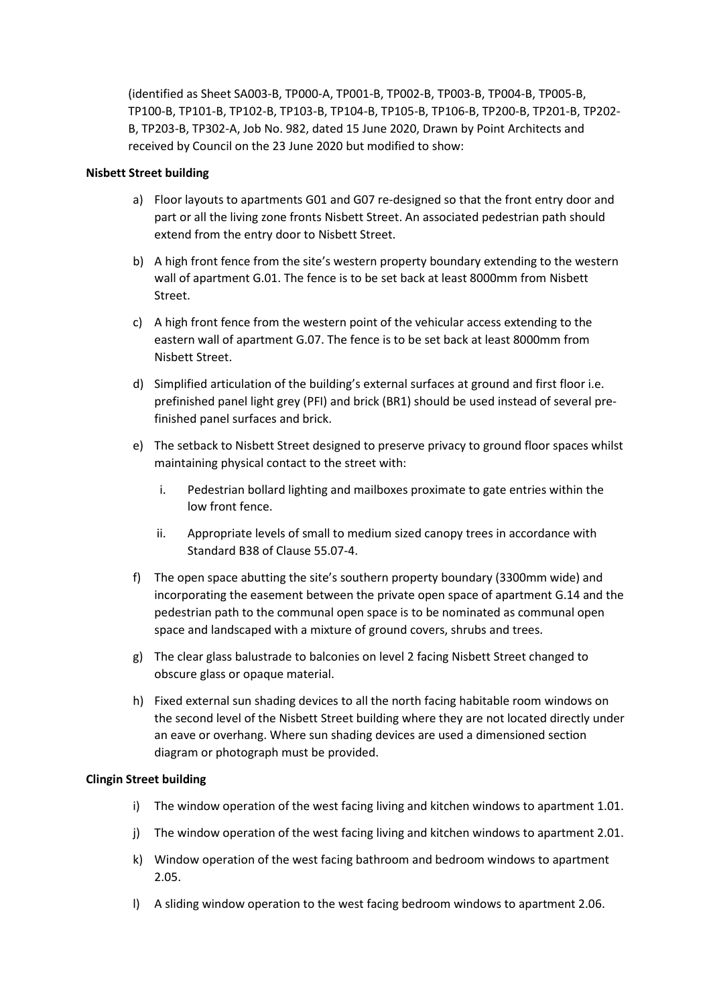(identified as Sheet SA003-B, TP000-A, TP001-B, TP002-B, TP003-B, TP004-B, TP005-B, TP100-B, TP101-B, TP102-B, TP103-B, TP104-B, TP105-B, TP106-B, TP200-B, TP201-B, TP202- B, TP203-B, TP302-A, Job No. 982, dated 15 June 2020, Drawn by Point Architects and received by Council on the 23 June 2020 but modified to show:

### **Nisbett Street building**

- a) Floor layouts to apartments G01 and G07 re-designed so that the front entry door and part or all the living zone fronts Nisbett Street. An associated pedestrian path should extend from the entry door to Nisbett Street.
- b) A high front fence from the site's western property boundary extending to the western wall of apartment G.01. The fence is to be set back at least 8000mm from Nisbett Street.
- c) A high front fence from the western point of the vehicular access extending to the eastern wall of apartment G.07. The fence is to be set back at least 8000mm from Nisbett Street.
- d) Simplified articulation of the building's external surfaces at ground and first floor i.e. prefinished panel light grey (PFI) and brick (BR1) should be used instead of several prefinished panel surfaces and brick.
- e) The setback to Nisbett Street designed to preserve privacy to ground floor spaces whilst maintaining physical contact to the street with:
	- i. Pedestrian bollard lighting and mailboxes proximate to gate entries within the low front fence.
	- ii. Appropriate levels of small to medium sized canopy trees in accordance with Standard B38 of Clause 55.07-4.
- f) The open space abutting the site's southern property boundary (3300mm wide) and incorporating the easement between the private open space of apartment G.14 and the pedestrian path to the communal open space is to be nominated as communal open space and landscaped with a mixture of ground covers, shrubs and trees.
- g) The clear glass balustrade to balconies on level 2 facing Nisbett Street changed to obscure glass or opaque material.
- h) Fixed external sun shading devices to all the north facing habitable room windows on the second level of the Nisbett Street building where they are not located directly under an eave or overhang. Where sun shading devices are used a dimensioned section diagram or photograph must be provided.

### **Clingin Street building**

- i) The window operation of the west facing living and kitchen windows to apartment 1.01.
- j) The window operation of the west facing living and kitchen windows to apartment 2.01.
- k) Window operation of the west facing bathroom and bedroom windows to apartment 2.05.
- l) A sliding window operation to the west facing bedroom windows to apartment 2.06.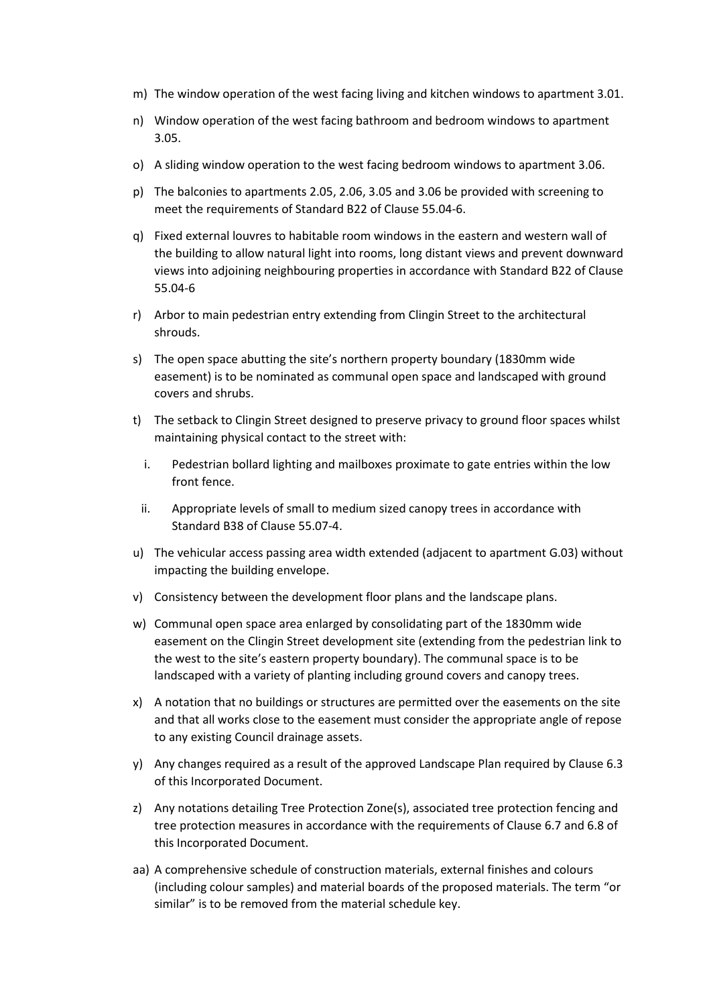- m) The window operation of the west facing living and kitchen windows to apartment 3.01.
- n) Window operation of the west facing bathroom and bedroom windows to apartment 3.05.
- o) A sliding window operation to the west facing bedroom windows to apartment 3.06.
- p) The balconies to apartments 2.05, 2.06, 3.05 and 3.06 be provided with screening to meet the requirements of Standard B22 of Clause 55.04-6.
- q) Fixed external louvres to habitable room windows in the eastern and western wall of the building to allow natural light into rooms, long distant views and prevent downward views into adjoining neighbouring properties in accordance with Standard B22 of Clause 55.04-6
- r) Arbor to main pedestrian entry extending from Clingin Street to the architectural shrouds.
- s) The open space abutting the site's northern property boundary (1830mm wide easement) is to be nominated as communal open space and landscaped with ground covers and shrubs.
- t) The setback to Clingin Street designed to preserve privacy to ground floor spaces whilst maintaining physical contact to the street with:
	- i. Pedestrian bollard lighting and mailboxes proximate to gate entries within the low front fence.
- ii. Appropriate levels of small to medium sized canopy trees in accordance with Standard B38 of Clause 55.07-4.
- u) The vehicular access passing area width extended (adjacent to apartment G.03) without impacting the building envelope.
- v) Consistency between the development floor plans and the landscape plans.
- w) Communal open space area enlarged by consolidating part of the 1830mm wide easement on the Clingin Street development site (extending from the pedestrian link to the west to the site's eastern property boundary). The communal space is to be landscaped with a variety of planting including ground covers and canopy trees.
- x) A notation that no buildings or structures are permitted over the easements on the site and that all works close to the easement must consider the appropriate angle of repose to any existing Council drainage assets.
- y) Any changes required as a result of the approved Landscape Plan required by Clause 6.3 of this Incorporated Document.
- z) Any notations detailing Tree Protection Zone(s), associated tree protection fencing and tree protection measures in accordance with the requirements of Clause 6.7 and 6.8 of this Incorporated Document.
- aa) A comprehensive schedule of construction materials, external finishes and colours (including colour samples) and material boards of the proposed materials. The term "or similar" is to be removed from the material schedule key.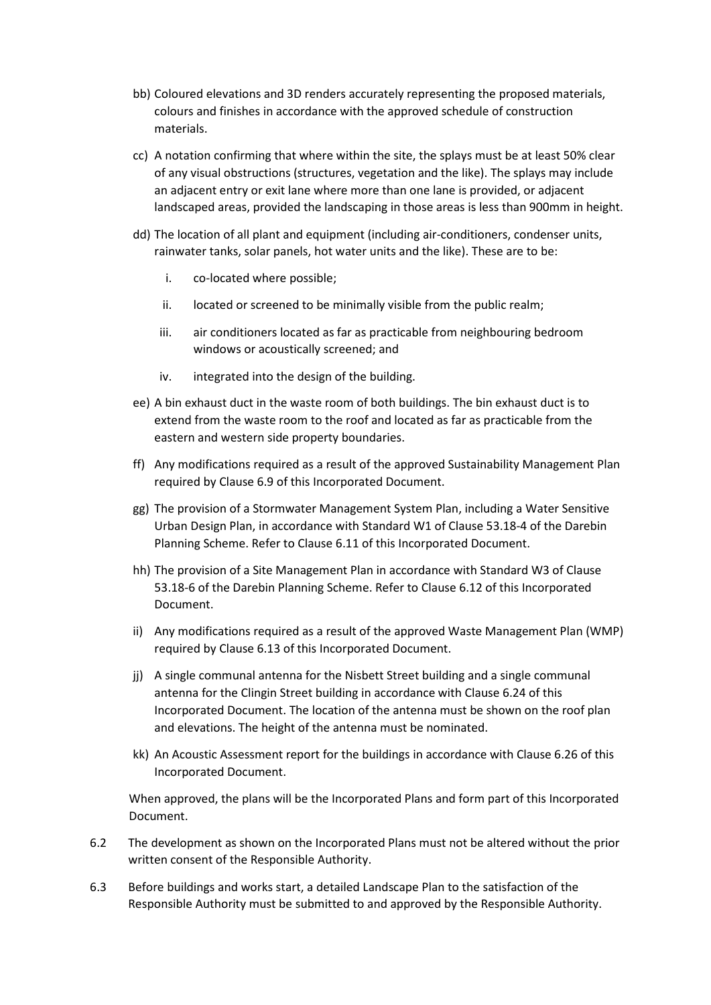- bb) Coloured elevations and 3D renders accurately representing the proposed materials, colours and finishes in accordance with the approved schedule of construction materials.
- cc) A notation confirming that where within the site, the splays must be at least 50% clear of any visual obstructions (structures, vegetation and the like). The splays may include an adjacent entry or exit lane where more than one lane is provided, or adjacent landscaped areas, provided the landscaping in those areas is less than 900mm in height.
- dd) The location of all plant and equipment (including air-conditioners, condenser units, rainwater tanks, solar panels, hot water units and the like). These are to be:
	- i. co-located where possible;
	- ii. located or screened to be minimally visible from the public realm;
	- iii. air conditioners located as far as practicable from neighbouring bedroom windows or acoustically screened; and
	- iv. integrated into the design of the building.
- ee) A bin exhaust duct in the waste room of both buildings. The bin exhaust duct is to extend from the waste room to the roof and located as far as practicable from the eastern and western side property boundaries.
- ff) Any modifications required as a result of the approved Sustainability Management Plan required by Clause 6.9 of this Incorporated Document.
- gg) The provision of a Stormwater Management System Plan, including a Water Sensitive Urban Design Plan, in accordance with Standard W1 of Clause 53.18-4 of the Darebin Planning Scheme. Refer to Clause 6.11 of this Incorporated Document.
- hh) The provision of a Site Management Plan in accordance with Standard W3 of Clause 53.18-6 of the Darebin Planning Scheme. Refer to Clause 6.12 of this Incorporated Document.
- ii) Any modifications required as a result of the approved Waste Management Plan (WMP) required by Clause 6.13 of this Incorporated Document.
- jj) A single communal antenna for the Nisbett Street building and a single communal antenna for the Clingin Street building in accordance with Clause 6.24 of this Incorporated Document. The location of the antenna must be shown on the roof plan and elevations. The height of the antenna must be nominated.
- kk) An Acoustic Assessment report for the buildings in accordance with Clause 6.26 of this Incorporated Document.

When approved, the plans will be the Incorporated Plans and form part of this Incorporated Document.

- 6.2 The development as shown on the Incorporated Plans must not be altered without the prior written consent of the Responsible Authority.
- 6.3 Before buildings and works start, a detailed Landscape Plan to the satisfaction of the Responsible Authority must be submitted to and approved by the Responsible Authority.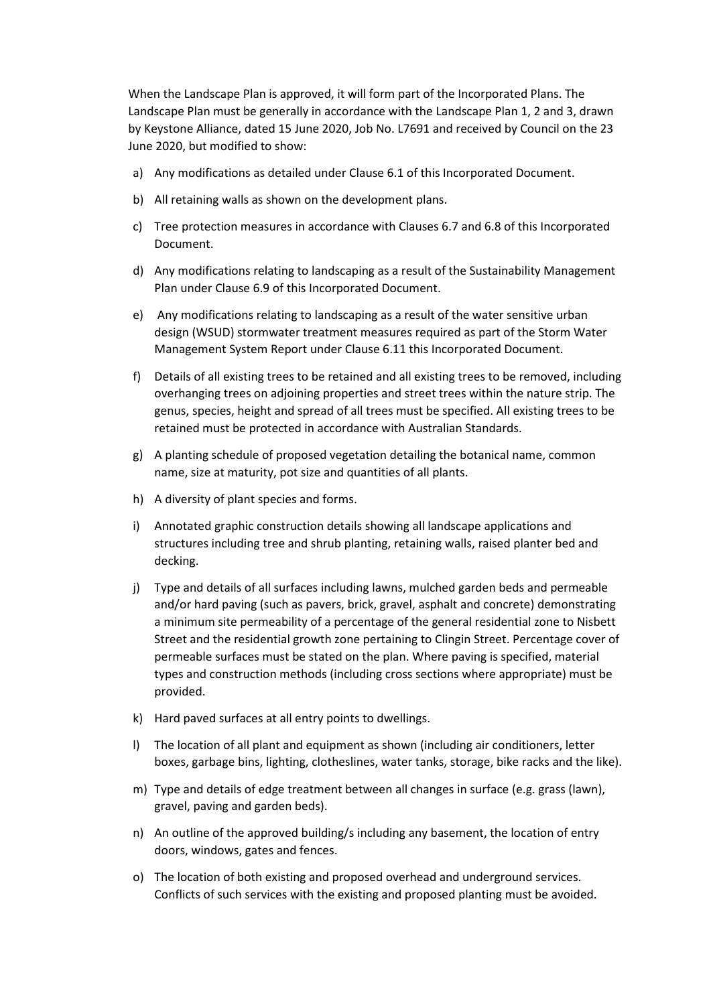When the Landscape Plan is approved, it will form part of the Incorporated Plans. The Landscape Plan must be generally in accordance with the Landscape Plan 1, 2 and 3, drawn by Keystone Alliance, dated 15 June 2020, Job No. L7691 and received by Council on the 23 June 2020, but modified to show:

- a) Any modifications as detailed under Clause 6.1 of this Incorporated Document.
- b) All retaining walls as shown on the development plans.
- c) Tree protection measures in accordance with Clauses 6.7 and 6.8 of this Incorporated Document.
- d) Any modifications relating to landscaping as a result of the Sustainability Management Plan under Clause 6.9 of this Incorporated Document.
- e) Any modifications relating to landscaping as a result of the water sensitive urban design (WSUD) stormwater treatment measures required as part of the Storm Water Management System Report under Clause 6.11 this Incorporated Document.
- f) Details of all existing trees to be retained and all existing trees to be removed, including overhanging trees on adjoining properties and street trees within the nature strip. The genus, species, height and spread of all trees must be specified. All existing trees to be retained must be protected in accordance with Australian Standards.
- g) A planting schedule of proposed vegetation detailing the botanical name, common name, size at maturity, pot size and quantities of all plants.
- h) A diversity of plant species and forms.
- i) Annotated graphic construction details showing all landscape applications and structures including tree and shrub planting, retaining walls, raised planter bed and decking.
- j) Type and details of all surfaces including lawns, mulched garden beds and permeable and/or hard paving (such as pavers, brick, gravel, asphalt and concrete) demonstrating a minimum site permeability of a percentage of the general residential zone to Nisbett Street and the residential growth zone pertaining to Clingin Street. Percentage cover of permeable surfaces must be stated on the plan. Where paving is specified, material types and construction methods (including cross sections where appropriate) must be provided.
- k) Hard paved surfaces at all entry points to dwellings.
- l) The location of all plant and equipment as shown (including air conditioners, letter boxes, garbage bins, lighting, clotheslines, water tanks, storage, bike racks and the like).
- m) Type and details of edge treatment between all changes in surface (e.g. grass (lawn), gravel, paving and garden beds).
- n) An outline of the approved building/s including any basement, the location of entry doors, windows, gates and fences.
- o) The location of both existing and proposed overhead and underground services. Conflicts of such services with the existing and proposed planting must be avoided.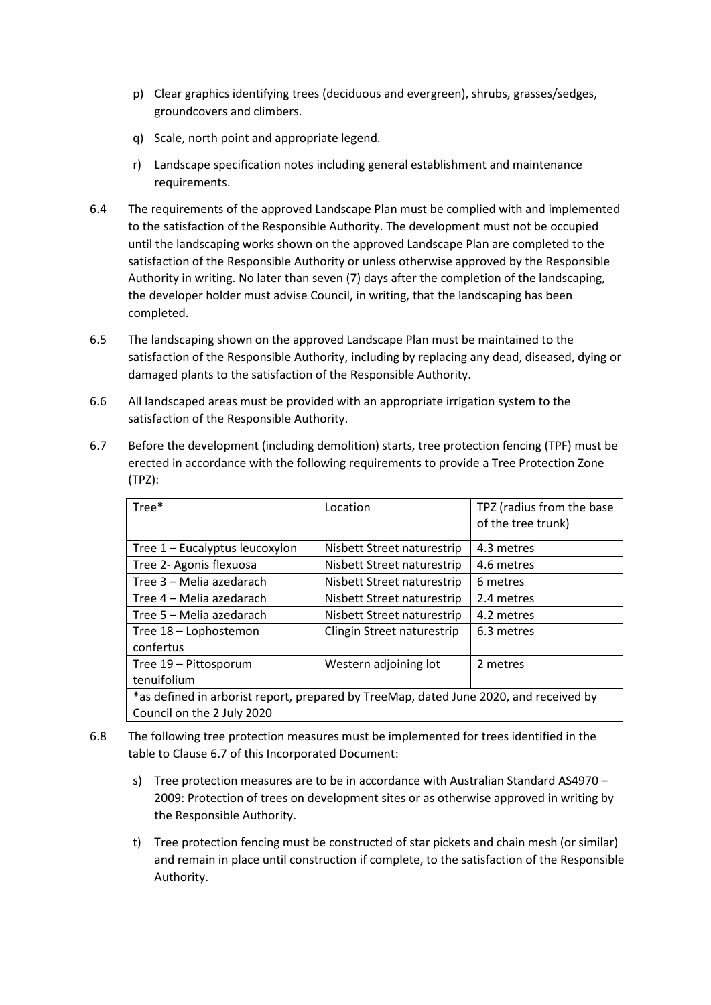- p) Clear graphics identifying trees (deciduous and evergreen), shrubs, grasses/sedges, groundcovers and climbers.
- q) Scale, north point and appropriate legend.
- r) Landscape specification notes including general establishment and maintenance requirements.
- 6.4 The requirements of the approved Landscape Plan must be complied with and implemented to the satisfaction of the Responsible Authority. The development must not be occupied until the landscaping works shown on the approved Landscape Plan are completed to the satisfaction of the Responsible Authority or unless otherwise approved by the Responsible Authority in writing. No later than seven (7) days after the completion of the landscaping, the developer holder must advise Council, in writing, that the landscaping has been completed.
- 6.5 The landscaping shown on the approved Landscape Plan must be maintained to the satisfaction of the Responsible Authority, including by replacing any dead, diseased, dying or damaged plants to the satisfaction of the Responsible Authority.
- 6.6 All landscaped areas must be provided with an appropriate irrigation system to the satisfaction of the Responsible Authority.
- 6.7 Before the development (including demolition) starts, tree protection fencing (TPF) must be erected in accordance with the following requirements to provide a Tree Protection Zone (TPZ):

| Tree*                                                                                 | Location                   | TPZ (radius from the base |
|---------------------------------------------------------------------------------------|----------------------------|---------------------------|
|                                                                                       |                            | of the tree trunk)        |
|                                                                                       |                            |                           |
| Tree 1 - Eucalyptus leucoxylon                                                        | Nisbett Street naturestrip | 4.3 metres                |
| Tree 2- Agonis flexuosa                                                               | Nisbett Street naturestrip | 4.6 metres                |
| Tree 3 – Melia azedarach                                                              | Nisbett Street naturestrip | 6 metres                  |
| Tree 4 – Melia azedarach                                                              | Nisbett Street naturestrip | 2.4 metres                |
| Tree 5 – Melia azedarach                                                              | Nisbett Street naturestrip | 4.2 metres                |
| Tree 18 - Lophostemon                                                                 | Clingin Street naturestrip | 6.3 metres                |
| confertus                                                                             |                            |                           |
| Tree 19 - Pittosporum                                                                 | Western adjoining lot      | 2 metres                  |
| tenuifolium                                                                           |                            |                           |
| *as defined in arborist report, prepared by TreeMap, dated June 2020, and received by |                            |                           |
| Council on the 2 July 2020                                                            |                            |                           |

- 6.8 The following tree protection measures must be implemented for trees identified in the table to Clause 6.7 of this Incorporated Document:
	- s) Tree protection measures are to be in accordance with Australian Standard AS4970 2009: Protection of trees on development sites or as otherwise approved in writing by the Responsible Authority.
	- t) Tree protection fencing must be constructed of star pickets and chain mesh (or similar) and remain in place until construction if complete, to the satisfaction of the Responsible Authority.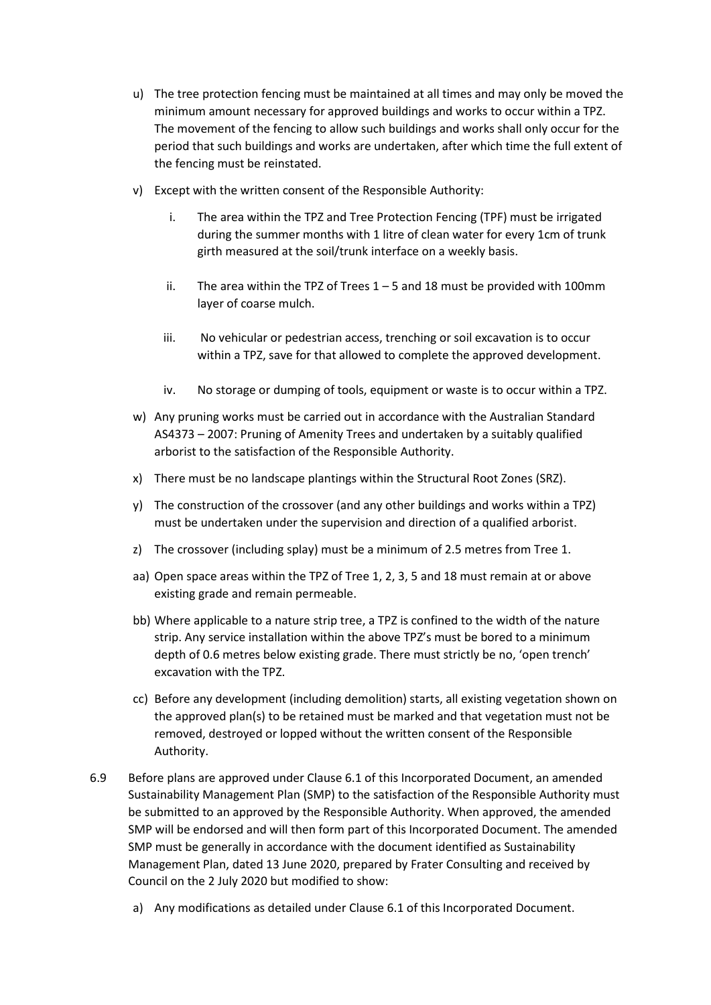- u) The tree protection fencing must be maintained at all times and may only be moved the minimum amount necessary for approved buildings and works to occur within a TPZ. The movement of the fencing to allow such buildings and works shall only occur for the period that such buildings and works are undertaken, after which time the full extent of the fencing must be reinstated.
- v) Except with the written consent of the Responsible Authority:
	- i. The area within the TPZ and Tree Protection Fencing (TPF) must be irrigated during the summer months with 1 litre of clean water for every 1cm of trunk girth measured at the soil/trunk interface on a weekly basis.
	- ii. The area within the TPZ of Trees  $1 5$  and 18 must be provided with 100 mm layer of coarse mulch.
	- iii. No vehicular or pedestrian access, trenching or soil excavation is to occur within a TPZ, save for that allowed to complete the approved development.
	- iv. No storage or dumping of tools, equipment or waste is to occur within a TPZ.
- w) Any pruning works must be carried out in accordance with the Australian Standard AS4373 – 2007: Pruning of Amenity Trees and undertaken by a suitably qualified arborist to the satisfaction of the Responsible Authority.
- x) There must be no landscape plantings within the Structural Root Zones (SRZ).
- y) The construction of the crossover (and any other buildings and works within a TPZ) must be undertaken under the supervision and direction of a qualified arborist.
- z) The crossover (including splay) must be a minimum of 2.5 metres from Tree 1.
- aa) Open space areas within the TPZ of Tree 1, 2, 3, 5 and 18 must remain at or above existing grade and remain permeable.
- bb) Where applicable to a nature strip tree, a TPZ is confined to the width of the nature strip. Any service installation within the above TPZ's must be bored to a minimum depth of 0.6 metres below existing grade. There must strictly be no, 'open trench' excavation with the TPZ.
- cc) Before any development (including demolition) starts, all existing vegetation shown on the approved plan(s) to be retained must be marked and that vegetation must not be removed, destroyed or lopped without the written consent of the Responsible Authority.
- 6.9 Before plans are approved under Clause 6.1 of this Incorporated Document, an amended Sustainability Management Plan (SMP) to the satisfaction of the Responsible Authority must be submitted to an approved by the Responsible Authority. When approved, the amended SMP will be endorsed and will then form part of this Incorporated Document. The amended SMP must be generally in accordance with the document identified as Sustainability Management Plan, dated 13 June 2020, prepared by Frater Consulting and received by Council on the 2 July 2020 but modified to show:
	- a) Any modifications as detailed under Clause 6.1 of this Incorporated Document.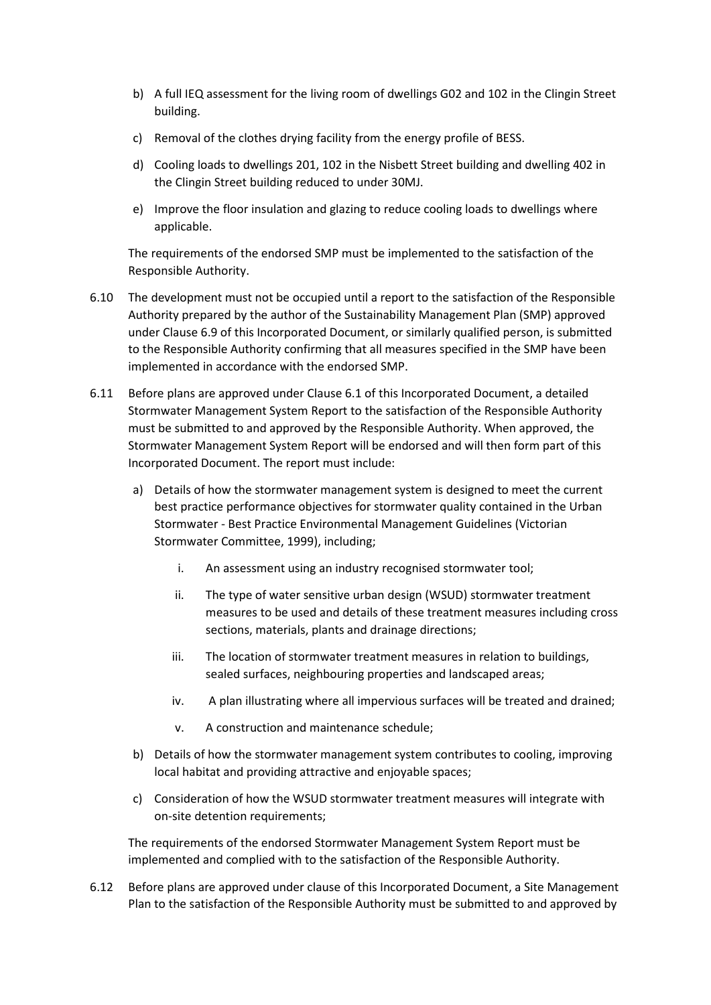- b) A full IEQ assessment for the living room of dwellings G02 and 102 in the Clingin Street building.
- c) Removal of the clothes drying facility from the energy profile of BESS.
- d) Cooling loads to dwellings 201, 102 in the Nisbett Street building and dwelling 402 in the Clingin Street building reduced to under 30MJ.
- e) Improve the floor insulation and glazing to reduce cooling loads to dwellings where applicable.

The requirements of the endorsed SMP must be implemented to the satisfaction of the Responsible Authority.

- 6.10 The development must not be occupied until a report to the satisfaction of the Responsible Authority prepared by the author of the Sustainability Management Plan (SMP) approved under Clause 6.9 of this Incorporated Document, or similarly qualified person, is submitted to the Responsible Authority confirming that all measures specified in the SMP have been implemented in accordance with the endorsed SMP.
- 6.11 Before plans are approved under Clause 6.1 of this Incorporated Document, a detailed Stormwater Management System Report to the satisfaction of the Responsible Authority must be submitted to and approved by the Responsible Authority. When approved, the Stormwater Management System Report will be endorsed and will then form part of this Incorporated Document. The report must include:
	- a) Details of how the stormwater management system is designed to meet the current best practice performance objectives for stormwater quality contained in the Urban Stormwater - Best Practice Environmental Management Guidelines (Victorian Stormwater Committee, 1999), including;
		- i. An assessment using an industry recognised stormwater tool;
		- ii. The type of water sensitive urban design (WSUD) stormwater treatment measures to be used and details of these treatment measures including cross sections, materials, plants and drainage directions;
		- iii. The location of stormwater treatment measures in relation to buildings, sealed surfaces, neighbouring properties and landscaped areas;
		- iv. A plan illustrating where all impervious surfaces will be treated and drained;
		- v. A construction and maintenance schedule;
	- b) Details of how the stormwater management system contributes to cooling, improving local habitat and providing attractive and enjoyable spaces;
	- c) Consideration of how the WSUD stormwater treatment measures will integrate with on-site detention requirements;

The requirements of the endorsed Stormwater Management System Report must be implemented and complied with to the satisfaction of the Responsible Authority.

6.12 Before plans are approved under clause of this Incorporated Document, a Site Management Plan to the satisfaction of the Responsible Authority must be submitted to and approved by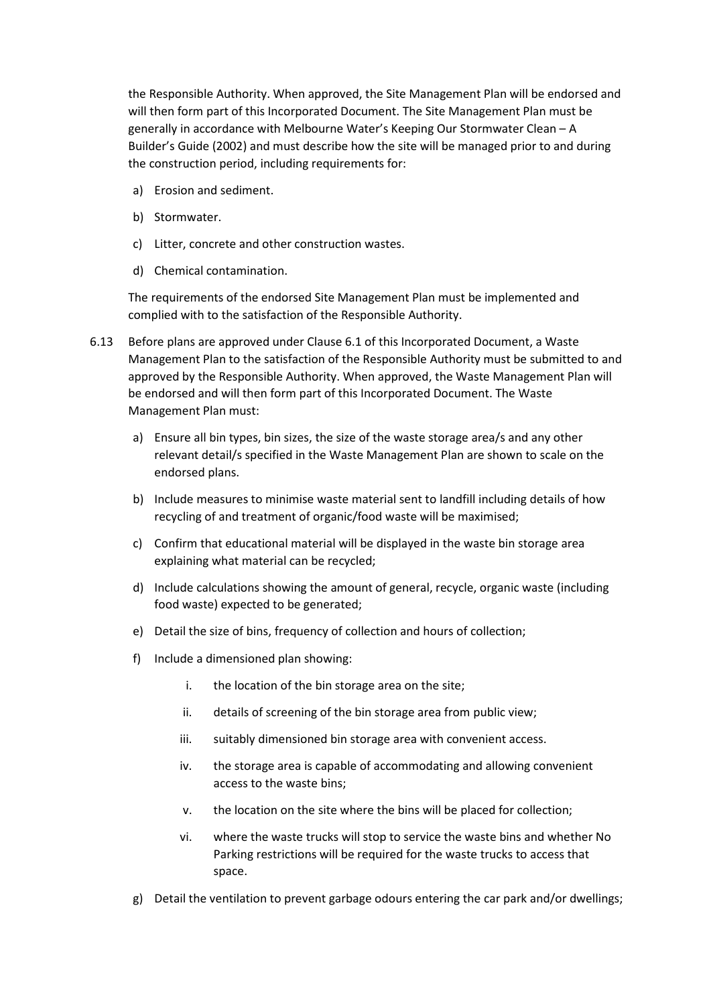the Responsible Authority. When approved, the Site Management Plan will be endorsed and will then form part of this Incorporated Document. The Site Management Plan must be generally in accordance with Melbourne Water's Keeping Our Stormwater Clean – A Builder's Guide (2002) and must describe how the site will be managed prior to and during the construction period, including requirements for:

- a) Erosion and sediment.
- b) Stormwater.
- c) Litter, concrete and other construction wastes.
- d) Chemical contamination.

The requirements of the endorsed Site Management Plan must be implemented and complied with to the satisfaction of the Responsible Authority.

- 6.13 Before plans are approved under Clause 6.1 of this Incorporated Document, a Waste Management Plan to the satisfaction of the Responsible Authority must be submitted to and approved by the Responsible Authority. When approved, the Waste Management Plan will be endorsed and will then form part of this Incorporated Document. The Waste Management Plan must:
	- a) Ensure all bin types, bin sizes, the size of the waste storage area/s and any other relevant detail/s specified in the Waste Management Plan are shown to scale on the endorsed plans.
	- b) Include measures to minimise waste material sent to landfill including details of how recycling of and treatment of organic/food waste will be maximised;
	- c) Confirm that educational material will be displayed in the waste bin storage area explaining what material can be recycled;
	- d) Include calculations showing the amount of general, recycle, organic waste (including food waste) expected to be generated;
	- e) Detail the size of bins, frequency of collection and hours of collection;
	- f) Include a dimensioned plan showing:
		- i. the location of the bin storage area on the site;
		- ii. details of screening of the bin storage area from public view;
		- iii. suitably dimensioned bin storage area with convenient access.
		- iv. the storage area is capable of accommodating and allowing convenient access to the waste bins;
		- v. the location on the site where the bins will be placed for collection;
		- vi. where the waste trucks will stop to service the waste bins and whether No Parking restrictions will be required for the waste trucks to access that space.
	- g) Detail the ventilation to prevent garbage odours entering the car park and/or dwellings;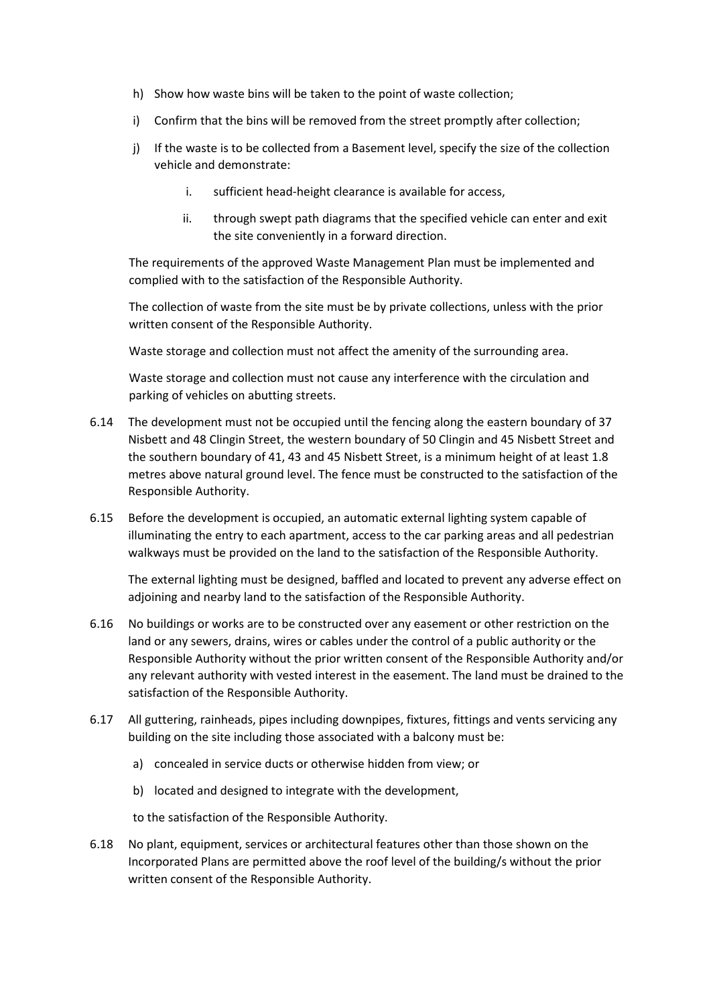- h) Show how waste bins will be taken to the point of waste collection;
- i) Confirm that the bins will be removed from the street promptly after collection;
- j) If the waste is to be collected from a Basement level, specify the size of the collection vehicle and demonstrate:
	- i. sufficient head-height clearance is available for access,
	- ii. through swept path diagrams that the specified vehicle can enter and exit the site conveniently in a forward direction.

The requirements of the approved Waste Management Plan must be implemented and complied with to the satisfaction of the Responsible Authority.

The collection of waste from the site must be by private collections, unless with the prior written consent of the Responsible Authority.

Waste storage and collection must not affect the amenity of the surrounding area.

Waste storage and collection must not cause any interference with the circulation and parking of vehicles on abutting streets.

- 6.14 The development must not be occupied until the fencing along the eastern boundary of 37 Nisbett and 48 Clingin Street, the western boundary of 50 Clingin and 45 Nisbett Street and the southern boundary of 41, 43 and 45 Nisbett Street, is a minimum height of at least 1.8 metres above natural ground level. The fence must be constructed to the satisfaction of the Responsible Authority.
- 6.15 Before the development is occupied, an automatic external lighting system capable of illuminating the entry to each apartment, access to the car parking areas and all pedestrian walkways must be provided on the land to the satisfaction of the Responsible Authority.

The external lighting must be designed, baffled and located to prevent any adverse effect on adjoining and nearby land to the satisfaction of the Responsible Authority.

- 6.16 No buildings or works are to be constructed over any easement or other restriction on the land or any sewers, drains, wires or cables under the control of a public authority or the Responsible Authority without the prior written consent of the Responsible Authority and/or any relevant authority with vested interest in the easement. The land must be drained to the satisfaction of the Responsible Authority.
- 6.17 All guttering, rainheads, pipes including downpipes, fixtures, fittings and vents servicing any building on the site including those associated with a balcony must be:
	- a) concealed in service ducts or otherwise hidden from view; or
	- b) located and designed to integrate with the development,

to the satisfaction of the Responsible Authority.

6.18 No plant, equipment, services or architectural features other than those shown on the Incorporated Plans are permitted above the roof level of the building/s without the prior written consent of the Responsible Authority.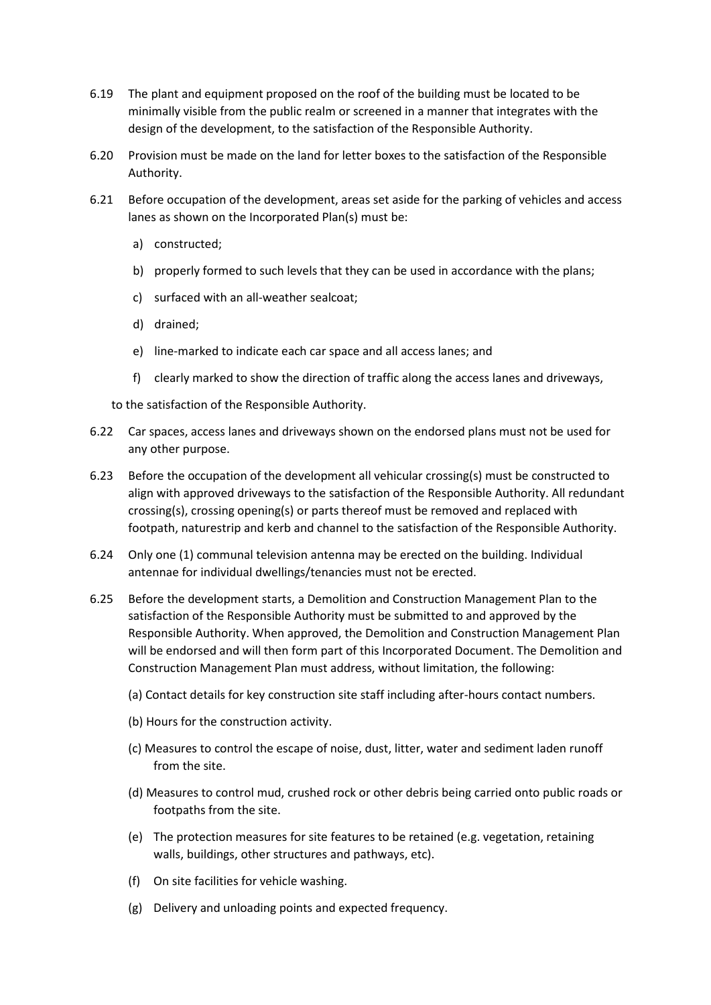- 6.19 The plant and equipment proposed on the roof of the building must be located to be minimally visible from the public realm or screened in a manner that integrates with the design of the development, to the satisfaction of the Responsible Authority.
- 6.20 Provision must be made on the land for letter boxes to the satisfaction of the Responsible Authority.
- 6.21 Before occupation of the development, areas set aside for the parking of vehicles and access lanes as shown on the Incorporated Plan(s) must be:
	- a) constructed;
	- b) properly formed to such levels that they can be used in accordance with the plans;
	- c) surfaced with an all-weather sealcoat;
	- d) drained;
	- e) line-marked to indicate each car space and all access lanes; and
	- f) clearly marked to show the direction of traffic along the access lanes and driveways,
	- to the satisfaction of the Responsible Authority.
- 6.22 Car spaces, access lanes and driveways shown on the endorsed plans must not be used for any other purpose.
- 6.23 Before the occupation of the development all vehicular crossing(s) must be constructed to align with approved driveways to the satisfaction of the Responsible Authority. All redundant crossing(s), crossing opening(s) or parts thereof must be removed and replaced with footpath, naturestrip and kerb and channel to the satisfaction of the Responsible Authority.
- 6.24 Only one (1) communal television antenna may be erected on the building. Individual antennae for individual dwellings/tenancies must not be erected.
- 6.25 Before the development starts, a Demolition and Construction Management Plan to the satisfaction of the Responsible Authority must be submitted to and approved by the Responsible Authority. When approved, the Demolition and Construction Management Plan will be endorsed and will then form part of this Incorporated Document. The Demolition and Construction Management Plan must address, without limitation, the following:
	- (a) Contact details for key construction site staff including after-hours contact numbers.
	- (b) Hours for the construction activity.
	- (c) Measures to control the escape of noise, dust, litter, water and sediment laden runoff from the site.
	- (d) Measures to control mud, crushed rock or other debris being carried onto public roads or footpaths from the site.
	- (e) The protection measures for site features to be retained (e.g. vegetation, retaining walls, buildings, other structures and pathways, etc).
	- (f) On site facilities for vehicle washing.
	- (g) Delivery and unloading points and expected frequency.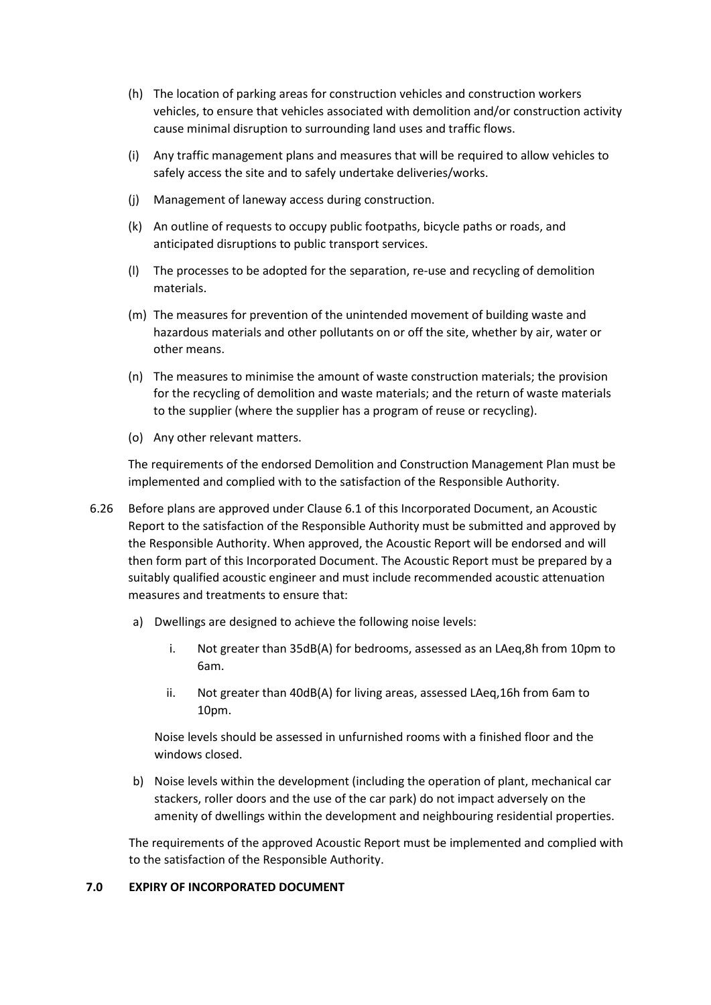- (h) The location of parking areas for construction vehicles and construction workers vehicles, to ensure that vehicles associated with demolition and/or construction activity cause minimal disruption to surrounding land uses and traffic flows.
- (i) Any traffic management plans and measures that will be required to allow vehicles to safely access the site and to safely undertake deliveries/works.
- (j) Management of laneway access during construction.
- (k) An outline of requests to occupy public footpaths, bicycle paths or roads, and anticipated disruptions to public transport services.
- (l) The processes to be adopted for the separation, re-use and recycling of demolition materials.
- (m) The measures for prevention of the unintended movement of building waste and hazardous materials and other pollutants on or off the site, whether by air, water or other means.
- (n) The measures to minimise the amount of waste construction materials; the provision for the recycling of demolition and waste materials; and the return of waste materials to the supplier (where the supplier has a program of reuse or recycling).
- (o) Any other relevant matters.

The requirements of the endorsed Demolition and Construction Management Plan must be implemented and complied with to the satisfaction of the Responsible Authority.

- 6.26 Before plans are approved under Clause 6.1 of this Incorporated Document, an Acoustic Report to the satisfaction of the Responsible Authority must be submitted and approved by the Responsible Authority. When approved, the Acoustic Report will be endorsed and will then form part of this Incorporated Document. The Acoustic Report must be prepared by a suitably qualified acoustic engineer and must include recommended acoustic attenuation measures and treatments to ensure that:
	- a) Dwellings are designed to achieve the following noise levels:
		- i. Not greater than 35dB(A) for bedrooms, assessed as an LAeq,8h from 10pm to 6am.
		- ii. Not greater than 40dB(A) for living areas, assessed LAeq,16h from 6am to 10pm.

Noise levels should be assessed in unfurnished rooms with a finished floor and the windows closed.

b) Noise levels within the development (including the operation of plant, mechanical car stackers, roller doors and the use of the car park) do not impact adversely on the amenity of dwellings within the development and neighbouring residential properties.

The requirements of the approved Acoustic Report must be implemented and complied with to the satisfaction of the Responsible Authority.

### **7.0 EXPIRY OF INCORPORATED DOCUMENT**